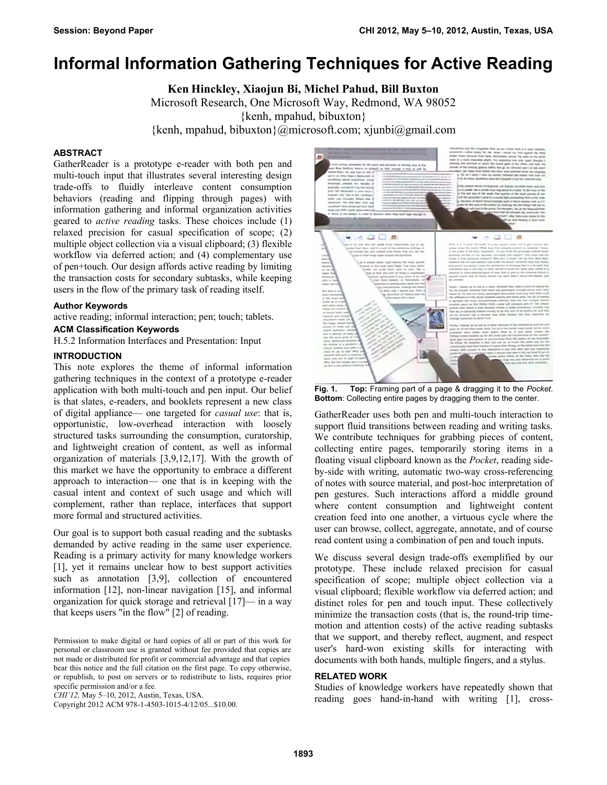# **Informal Information Gathering Techniques for Active Reading**

**Ken Hinckley, Xiaojun Bi, Michel Pahud, Bill Buxton** Microsoft Research, One Microsoft Way, Redmond, WA 98052 {kenh, mpahud, bibuxton} {kenh, mpahud, bibuxton}@microsoft.com; xjunbi@gmail.com

# **ABSTRACT**

GatherReader is a prototype e-reader with both pen and multi-touch input that illustrates several interesting design trade-offs to fluidly interleave content consumption behaviors (reading and flipping through pages) with information gathering and informal organization activities geared to *active reading* tasks. These choices include (1) relaxed precision for casual specification of scope; (2) multiple object collection via a visual clipboard; (3) flexible workflow via deferred action; and (4) complementary use of pen+touch. Our design affords active reading by limiting the transaction costs for secondary subtasks, while keeping users in the flow of the primary task of reading itself.

# **Author Keywords**

active reading; informal interaction; pen; touch; tablets.

## **ACM Classification Keywords**

H.5.2 Information Interfaces and Presentation: Input

# **INTRODUCTION**

This note explores the theme of informal information gathering techniques in the context of a prototype e-reader application with both multi-touch and pen input. Our belief is that slates, e-readers, and booklets represent a new class of digital appliance— one targeted for *casual use*: that is, opportunistic, low-overhead interaction with loosely structured tasks surrounding the consumption, curatorship, and lightweight creation of content, as well as informal organization of materials [\[3](#page-3-0)[,9,](#page-3-1)[12](#page-3-2)[,17\]](#page-3-3). With the growth of this market we have the opportunity to embrace a different approach to interaction— one that is in keeping with the casual intent and context of such usage and which will complement, rather than replace, interfaces that support more formal and structured activities.

Our goal is to support both casual reading and the subtasks demanded by active reading in the same user experience. Reading is a primary activity for many knowledge workers [\[1\]](#page-3-4), yet it remains unclear how to best support activities such as annotation [\[3](#page-3-0)[,9\]](#page-3-1), collection of encountered information [\[12\]](#page-3-2), non-linear navigation [\[15\]](#page-3-5), and informal organization for quick storage and retrieval [\[17\]](#page-3-3)— in a way that keeps users "in the flow" [\[2\]](#page-3-6) of reading.

*CHI'12,* May 5–10, 2012, Austin, Texas, USA.

Copyright 2012 ACM 978-1-4503-1015-4/12/05...\$10.00.



**Fig. 1. Top:** Framing part of a page & dragging it to the *Pocket*. **Bottom**: Collecting entire pages by dragging them to the center.

<span id="page-0-0"></span>GatherReader uses both pen and multi-touch interaction to support fluid transitions between reading and writing tasks. We contribute techniques for grabbing pieces of content, collecting entire pages, temporarily storing items in a floating visual clipboard known as the *Pocket*, reading sideby-side with writing, automatic two-way cross-referencing of notes with source material, and post-hoc interpretation of pen gestures. Such interactions afford a middle ground where content consumption and lightweight content creation feed into one another, a virtuous cycle where the user can browse, collect, aggregate, annotate, and of course read content using a combination of pen and touch inputs.

We discuss several design trade-offs exemplified by our prototype. These include relaxed precision for casual specification of scope; multiple object collection via a visual clipboard; flexible workflow via deferred action; and distinct roles for pen and touch input. These collectively minimize the transaction costs (that is, the round-trip timemotion and attention costs) of the active reading subtasks that we support, and thereby reflect, augment, and respect user's hard-won existing skills for interacting with documents with both hands, multiple fingers, and a stylus.

#### **RELATED WORK**

Studies of knowledge workers have repeatedly shown that reading goes hand-in-hand with writing [\[1\]](#page-3-4), cross-

Permission to make digital or hard copies of all or part of this work for personal or classroom use is granted without fee provided that copies are not made or distributed for profit or commercial advantage and that copies bear this notice and the full citation on the first page. To copy otherwise, or republish, to post on servers or to redistribute to lists, requires prior specific permission and/or a fee.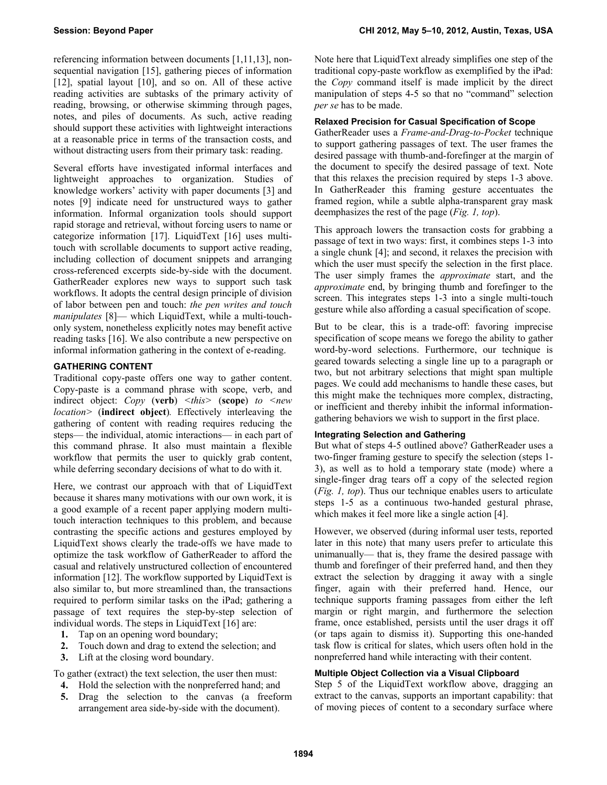referencing information between documents [\[1](#page-3-4)[,11](#page-3-7)[,13\]](#page-3-8), nonsequential navigation [\[15\]](#page-3-5), gathering pieces of information [\[12\]](#page-3-2), spatial layout [\[10\]](#page-3-9), and so on. All of these active reading activities are subtasks of the primary activity of reading, browsing, or otherwise skimming through pages, notes, and piles of documents. As such, active reading should support these activities with lightweight interactions at a reasonable price in terms of the transaction costs, and without distracting users from their primary task: reading.

Several efforts have investigated informal interfaces and lightweight approaches to organization. Studies of knowledge workers' activity with paper documents [\[3\]](#page-3-0) and notes [\[9\]](#page-3-1) indicate need for unstructured ways to gather information. Informal organization tools should support rapid storage and retrieval, without forcing users to name or categorize information [\[17\]](#page-3-3). LiquidText [\[16\]](#page-3-10) uses multitouch with scrollable documents to support active reading, including collection of document snippets and arranging cross-referenced excerpts side-by-side with the document. GatherReader explores new ways to support such task workflows. It adopts the central design principle of division of labor between pen and touch: *the pen writes and touch manipulates* [\[8\]](#page-3-11)— which LiquidText, while a multi-touchonly system, nonetheless explicitly notes may benefit active reading tasks [\[16\]](#page-3-10). We also contribute a new perspective on informal information gathering in the context of e-reading.

# **GATHERING CONTENT**

Traditional copy-paste offers one way to gather content. Copy-paste is a command phrase with scope, verb, and indirect object: *Copy* (**verb**) *<this>* (**scope**) *to <new location>* (**indirect object**)*.* Effectively interleaving the gathering of content with reading requires reducing the steps— the individual, atomic interactions— in each part of this command phrase. It also must maintain a flexible workflow that permits the user to quickly grab content, while deferring secondary decisions of what to do with it.

Here, we contrast our approach with that of LiquidText because it shares many motivations with our own work, it is a good example of a recent paper applying modern multitouch interaction techniques to this problem, and because contrasting the specific actions and gestures employed by LiquidText shows clearly the trade-offs we have made to optimize the task workflow of GatherReader to afford the casual and relatively unstructured collection of encountered information [\[12\]](#page-3-2). The workflow supported by LiquidText is also similar to, but more streamlined than, the transactions required to perform similar tasks on the iPad; gathering a passage of text requires the step-by-step selection of individual words. The steps in LiquidText [\[16\]](#page-3-10) are:

- **1.** Tap on an opening word boundary;
- **2.** Touch down and drag to extend the selection; and
- **3.** Lift at the closing word boundary.

To gather (extract) the text selection, the user then must:

- **4.** Hold the selection with the nonpreferred hand; and
- **5.** Drag the selection to the canvas (a freeform arrangement area side-by-side with the document).

Note here that LiquidText already simplifies one step of the traditional copy-paste workflow as exemplified by the iPad: the *Copy* command itself is made implicit by the direct manipulation of steps 4-5 so that no "command" selection *per se* has to be made.

## **Relaxed Precision for Casual Specification of Scope**

GatherReader uses a *Frame-and-Drag-to-Pocket* technique to support gathering passages of text. The user frames the desired passage with thumb-and-forefinger at the margin of the document to specify the desired passage of text. Note that this relaxes the precision required by steps 1-3 above. In GatherReader this framing gesture accentuates the framed region, while a subtle alpha-transparent gray mask deemphasizes the rest of the page (*[Fig. 1,](#page-0-0) top*).

This approach lowers the transaction costs for grabbing a passage of text in two ways: first, it combines steps 1-3 into a single chunk [\[4\]](#page-3-12); and second, it relaxes the precision with which the user must specify the selection in the first place. The user simply frames the *approximate* start, and the *approximate* end, by bringing thumb and forefinger to the screen. This integrates steps 1-3 into a single multi-touch gesture while also affording a casual specification of scope.

But to be clear, this is a trade-off: favoring imprecise specification of scope means we forego the ability to gather word-by-word selections. Furthermore, our technique is geared towards selecting a single line up to a paragraph or two, but not arbitrary selections that might span multiple pages. We could add mechanisms to handle these cases, but this might make the techniques more complex, distracting, or inefficient and thereby inhibit the informal informationgathering behaviors we wish to support in the first place.

#### **Integrating Selection and Gathering**

But what of steps 4-5 outlined above? GatherReader uses a two-finger framing gesture to specify the selection (steps 1- 3), as well as to hold a temporary state (mode) where a single-finger drag tears off a copy of the selected region (*[Fig. 1,](#page-0-0) top*). Thus our technique enables users to articulate steps 1-5 as a continuous two-handed gestural phrase, which makes it feel more like a single action [\[4\]](#page-3-12).

However, we observed (during informal user tests, reported later in this note) that many users prefer to articulate this unimanually— that is, they frame the desired passage with thumb and forefinger of their preferred hand, and then they extract the selection by dragging it away with a single finger, again with their preferred hand. Hence, our technique supports framing passages from either the left margin or right margin, and furthermore the selection frame, once established, persists until the user drags it off (or taps again to dismiss it). Supporting this one-handed task flow is critical for slates, which users often hold in the nonpreferred hand while interacting with their content.

# **Multiple Object Collection via a Visual Clipboard**

Step 5 of the LiquidText workflow above, dragging an extract to the canvas, supports an important capability: that of moving pieces of content to a secondary surface where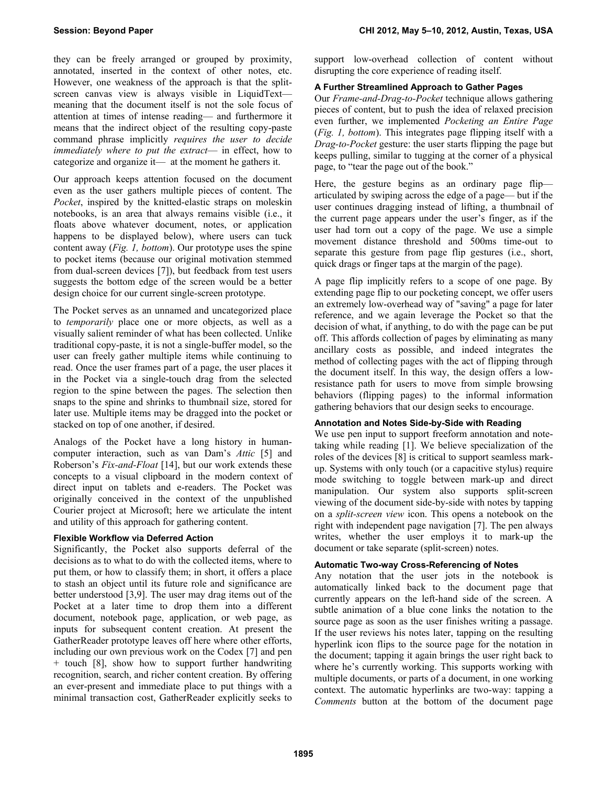they can be freely arranged or grouped by proximity, annotated, inserted in the context of other notes, etc. However, one weakness of the approach is that the splitscreen canvas view is always visible in LiquidText meaning that the document itself is not the sole focus of attention at times of intense reading— and furthermore it means that the indirect object of the resulting copy-paste command phrase implicitly *requires the user to decide immediately where to put the extract*— in effect, how to categorize and organize it— at the moment he gathers it.

Our approach keeps attention focused on the document even as the user gathers multiple pieces of content. The *Pocket*, inspired by the knitted-elastic straps on moleskin notebooks, is an area that always remains visible (i.e., it floats above whatever document, notes, or application happens to be displayed below), where users can tuck content away (*[Fig. 1,](#page-0-0) bottom*). Our prototype uses the spine to pocket items (because our original motivation stemmed from dual-screen devices [\[7\]](#page-3-13)), but feedback from test users suggests the bottom edge of the screen would be a better design choice for our current single-screen prototype.

The Pocket serves as an unnamed and uncategorized place to *temporarily* place one or more objects, as well as a visually salient reminder of what has been collected. Unlike traditional copy-paste, it is not a single-buffer model, so the user can freely gather multiple items while continuing to read. Once the user frames part of a page, the user places it in the Pocket via a single-touch drag from the selected region to the spine between the pages. The selection then snaps to the spine and shrinks to thumbnail size, stored for later use. Multiple items may be dragged into the pocket or stacked on top of one another, if desired.

Analogs of the Pocket have a long history in humancomputer interaction, such as van Dam's *Attic* [\[5\]](#page-3-14) and Roberson's *Fix-and-Float* [\[14\]](#page-3-15), but our work extends these concepts to a visual clipboard in the modern context of direct input on tablets and e-readers. The Pocket was originally conceived in the context of the unpublished Courier project at Microsoft; here we articulate the intent and utility of this approach for gathering content.

# **Flexible Workflow via Deferred Action**

Significantly, the Pocket also supports deferral of the decisions as to what to do with the collected items, where to put them, or how to classify them; in short, it offers a place to stash an object until its future role and significance are better understood [\[3,](#page-3-0)[9\]](#page-3-1). The user may drag items out of the Pocket at a later time to drop them into a different document, notebook page, application, or web page, as inputs for subsequent content creation. At present the GatherReader prototype leaves off here where other efforts, including our own previous work on the Codex [\[7\]](#page-3-13) and pen + touch [\[8\]](#page-3-11), show how to support further handwriting recognition, search, and richer content creation. By offering an ever-present and immediate place to put things with a minimal transaction cost, GatherReader explicitly seeks to

support low-overhead collection of content without disrupting the core experience of reading itself.

## **A Further Streamlined Approach to Gather Pages**

Our *Frame-and-Drag-to-Pocket* technique allows gathering pieces of content, but to push the idea of relaxed precision even further, we implemented *Pocketing an Entire Page* (*[Fig. 1,](#page-0-0) bottom*). This integrates page flipping itself with a *Drag-to-Pocket* gesture: the user starts flipping the page but keeps pulling, similar to tugging at the corner of a physical page, to "tear the page out of the book."

Here, the gesture begins as an ordinary page flip articulated by swiping across the edge of a page— but if the user continues dragging instead of lifting, a thumbnail of the current page appears under the user's finger, as if the user had torn out a copy of the page. We use a simple movement distance threshold and 500ms time-out to separate this gesture from page flip gestures (i.e., short, quick drags or finger taps at the margin of the page).

A page flip implicitly refers to a scope of one page. By extending page flip to our pocketing concept, we offer users an extremely low-overhead way of "saving" a page for later reference, and we again leverage the Pocket so that the decision of what, if anything, to do with the page can be put off. This affords collection of pages by eliminating as many ancillary costs as possible, and indeed integrates the method of collecting pages with the act of flipping through the document itself. In this way, the design offers a lowresistance path for users to move from simple browsing behaviors (flipping pages) to the informal information gathering behaviors that our design seeks to encourage.

# **Annotation and Notes Side-by-Side with Reading**

We use pen input to support freeform annotation and notetaking while reading [\[1\]](#page-3-4). We believe specialization of the roles of the devices [\[8\]](#page-3-11) is critical to support seamless markup. Systems with only touch (or a capacitive stylus) require mode switching to toggle between mark-up and direct manipulation. Our system also supports split-screen viewing of the document side-by-side with notes by tapping on a *split-screen view* icon. This opens a notebook on the right with independent page navigation [\[7\]](#page-3-13). The pen always writes, whether the user employs it to mark-up the document or take separate (split-screen) notes.

#### **Automatic Two-way Cross-Referencing of Notes**

Any notation that the user jots in the notebook is automatically linked back to the document page that currently appears on the left-hand side of the screen. A subtle animation of a blue cone links the notation to the source page as soon as the user finishes writing a passage. If the user reviews his notes later, tapping on the resulting hyperlink icon flips to the source page for the notation in the document; tapping it again brings the user right back to where he's currently working. This supports working with multiple documents, or parts of a document, in one working context. The automatic hyperlinks are two-way: tapping a *Comments* button at the bottom of the document page